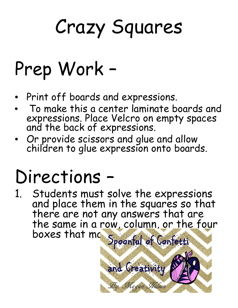## Crazy Squares

## Prep Work –

- Print off boards and expressions.
- To make this a center laminate boards and expressions. Place Velcro on empty spaces and the back of expressions.
- Or provide scissors and glue and allow children to glue expression onto boards.

## Directions –

1. Students must solve the expressions and place them in the squares so that there are not any answers that are the same in a row, column, or the four Irie summer me spoonful of Confection

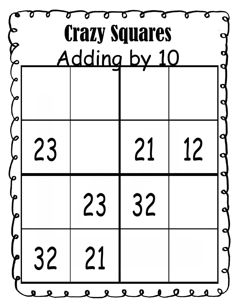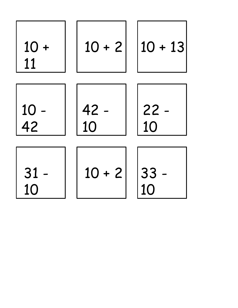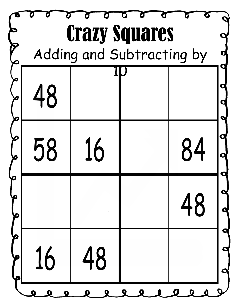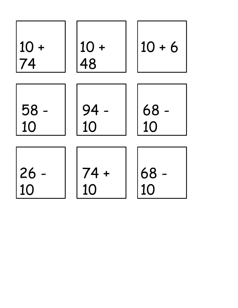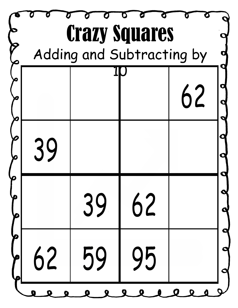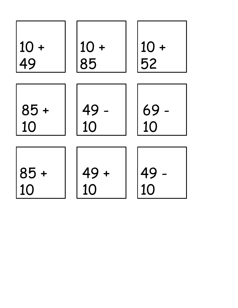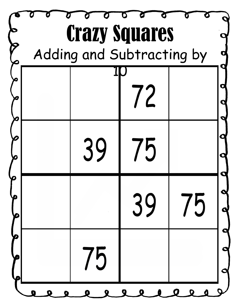